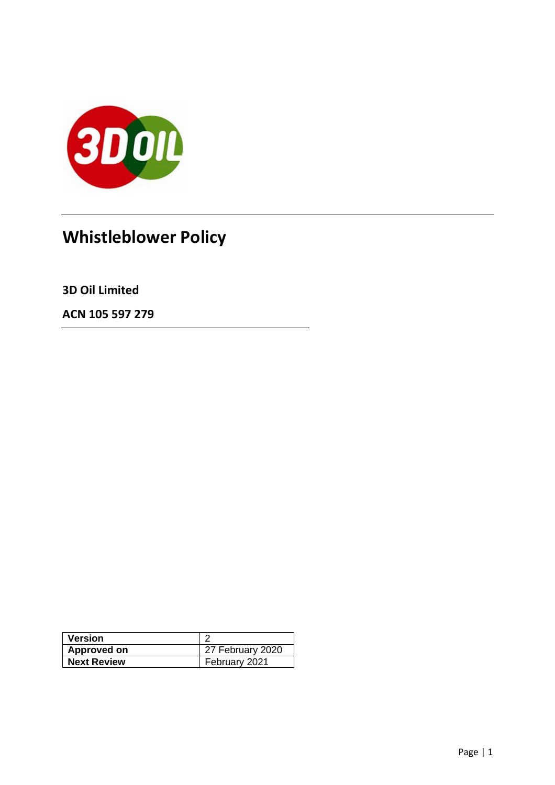

# **Whistleblower Policy**

**3D Oil Limited**

**ACN 105 597 279**

| <b>Version</b>     |                    |
|--------------------|--------------------|
| Approved on        | $27$ February 2020 |
| <b>Next Review</b> | February 2021      |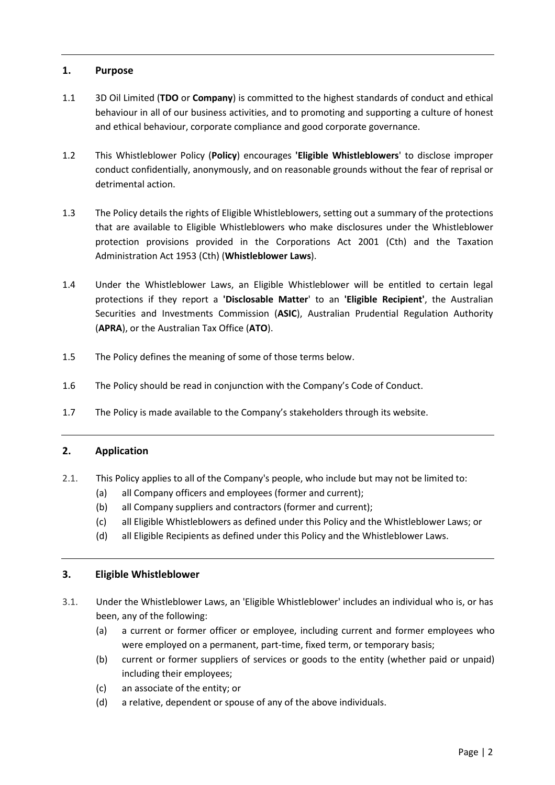#### **1. Purpose**

- 1.1 3D Oil Limited (**TDO** or **Company**) is committed to the highest standards of conduct and ethical behaviour in all of our business activities, and to promoting and supporting a culture of honest and ethical behaviour, corporate compliance and good corporate governance.
- 1.2 This Whistleblower Policy (**Policy**) encourages **'Eligible Whistleblowers**' to disclose improper conduct confidentially, anonymously, and on reasonable grounds without the fear of reprisal or detrimental action.
- 1.3 The Policy details the rights of Eligible Whistleblowers, setting out a summary of the protections that are available to Eligible Whistleblowers who make disclosures under the Whistleblower protection provisions provided in the Corporations Act 2001 (Cth) and the Taxation Administration Act 1953 (Cth) (**Whistleblower Laws**).
- 1.4 Under the Whistleblower Laws, an Eligible Whistleblower will be entitled to certain legal protections if they report a **'Disclosable Matter**' to an **'Eligible Recipient'**, the Australian Securities and Investments Commission (**ASIC**), Australian Prudential Regulation Authority (**APRA**), or the Australian Tax Office (**ATO**).
- 1.5 The Policy defines the meaning of some of those terms below.
- 1.6 The Policy should be read in conjunction with the Company's Code of Conduct.
- 1.7 The Policy is made available to the Company's stakeholders through its website.

# **2. Application**

- 2.1. This Policy applies to all of the Company's people, who include but may not be limited to:
	- (a) all Company officers and employees (former and current);
	- (b) all Company suppliers and contractors (former and current);
	- (c) all Eligible Whistleblowers as defined under this Policy and the Whistleblower Laws; or
	- (d) all Eligible Recipients as defined under this Policy and the Whistleblower Laws.

#### **3. Eligible Whistleblower**

- 3.1. Under the Whistleblower Laws, an 'Eligible Whistleblower' includes an individual who is, or has been, any of the following:
	- (a) a current or former officer or employee, including current and former employees who were employed on a permanent, part-time, fixed term, or temporary basis;
	- (b) current or former suppliers of services or goods to the entity (whether paid or unpaid) including their employees;
	- (c) an associate of the entity; or
	- (d) a relative, dependent or spouse of any of the above individuals.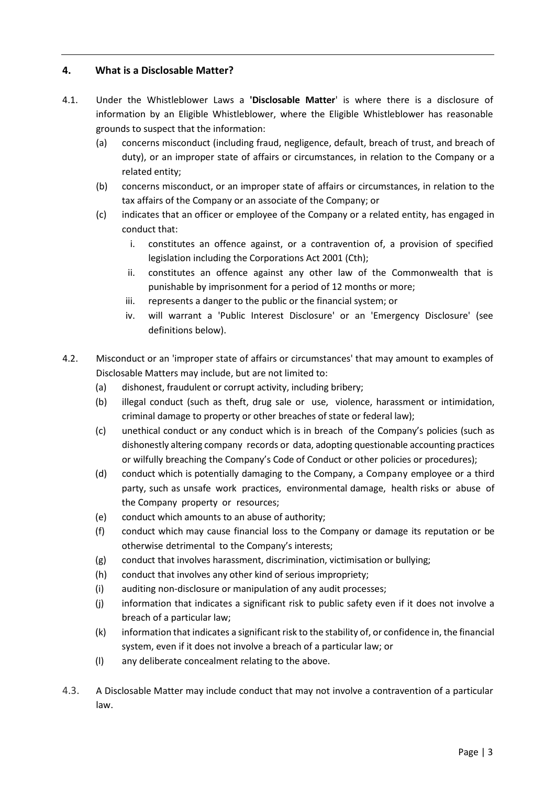# **4. What is a Disclosable Matter?**

- 4.1. Under the Whistleblower Laws a **'Disclosable Matter**' is where there is a disclosure of information by an Eligible Whistleblower, where the Eligible Whistleblower has reasonable grounds to suspect that the information:
	- (a) concerns misconduct (including fraud, negligence, default, breach of trust, and breach of duty), or an improper state of affairs or circumstances, in relation to the Company or a related entity;
	- (b) concerns misconduct, or an improper state of affairs or circumstances, in relation to the tax affairs of the Company or an associate of the Company; or
	- (c) indicates that an officer or employee of the Company or a related entity, has engaged in conduct that:
		- i. constitutes an offence against, or a contravention of, a provision of specified legislation including the Corporations Act 2001 (Cth);
		- ii. constitutes an offence against any other law of the Commonwealth that is punishable by imprisonment for a period of 12 months or more;
		- iii. represents a danger to the public or the financial system; or
		- iv. will warrant a 'Public Interest Disclosure' or an 'Emergency Disclosure' (see definitions below).
- 4.2. Misconduct or an 'improper state of affairs or circumstances' that may amount to examples of Disclosable Matters may include, but are not limited to:
	- (a) dishonest, fraudulent or corrupt activity, including bribery;
	- (b) illegal conduct (such as theft, drug sale or use, violence, harassment or intimidation, criminal damage to property or other breaches of state or federal law);
	- (c) unethical conduct or any conduct which is in breach of the Company's policies (such as dishonestly altering company records or data, adopting questionable accounting practices or wilfully breaching the Company's Code of Conduct or other policies or procedures);
	- (d) conduct which is potentially damaging to the Company, a Company employee or a third party, such as unsafe work practices, environmental damage, health risks or abuse of the Company property or resources;
	- (e) conduct which amounts to an abuse of authority;
	- (f) conduct which may cause financial loss to the Company or damage its reputation or be otherwise detrimental to the Company's interests;
	- (g) conduct that involves harassment, discrimination, victimisation or bullying;
	- (h) conduct that involves any other kind of serious impropriety;
	- (i) auditing non-disclosure or manipulation of any audit processes;
	- (j) information that indicates a significant risk to public safety even if it does not involve a breach of a particular law;
	- (k) information that indicates a significant risk to the stability of, or confidence in, the financial system, even if it does not involve a breach of a particular law; or
	- (l) any deliberate concealment relating to the above.
- 4.3. A Disclosable Matter may include conduct that may not involve a contravention of a particular law.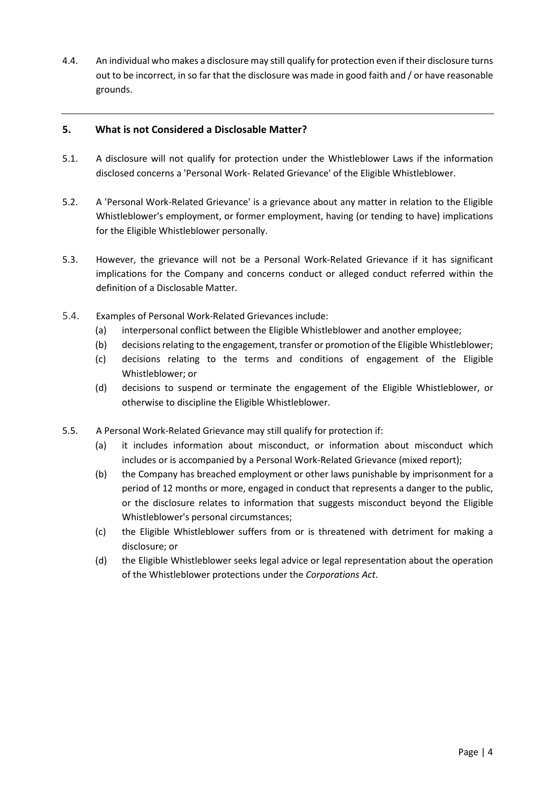4.4. An individual who makes a disclosure may still qualify for protection even if their disclosure turns out to be incorrect, in so far that the disclosure was made in good faith and / or have reasonable grounds.

# **5. What is not Considered a Disclosable Matter?**

- 5.1. A disclosure will not qualify for protection under the Whistleblower Laws if the information disclosed concerns a 'Personal Work- Related Grievance' of the Eligible Whistleblower.
- 5.2. A 'Personal Work-Related Grievance' is a grievance about any matter in relation to the Eligible Whistleblower's employment, or former employment, having (or tending to have) implications for the Eligible Whistleblower personally.
- 5.3. However, the grievance will not be a Personal Work-Related Grievance if it has significant implications for the Company and concerns conduct or alleged conduct referred within the definition of a Disclosable Matter.
- 5.4. Examples of Personal Work-Related Grievances include:
	- (a) interpersonal conflict between the Eligible Whistleblower and another employee;
	- (b) decisions relating to the engagement, transfer or promotion of the Eligible Whistleblower;
	- (c) decisions relating to the terms and conditions of engagement of the Eligible Whistleblower; or
	- (d) decisions to suspend or terminate the engagement of the Eligible Whistleblower, or otherwise to discipline the Eligible Whistleblower.
- 5.5. A Personal Work-Related Grievance may still qualify for protection if:
	- (a) it includes information about misconduct, or information about misconduct which includes or is accompanied by a Personal Work-Related Grievance (mixed report);
	- (b) the Company has breached employment or other laws punishable by imprisonment for a period of 12 months or more, engaged in conduct that represents a danger to the public, or the disclosure relates to information that suggests misconduct beyond the Eligible Whistleblower's personal circumstances;
	- (c) the Eligible Whistleblower suffers from or is threatened with detriment for making a disclosure; or
	- (d) the Eligible Whistleblower seeks legal advice or legal representation about the operation of the Whistleblower protections under the *Corporations Act*.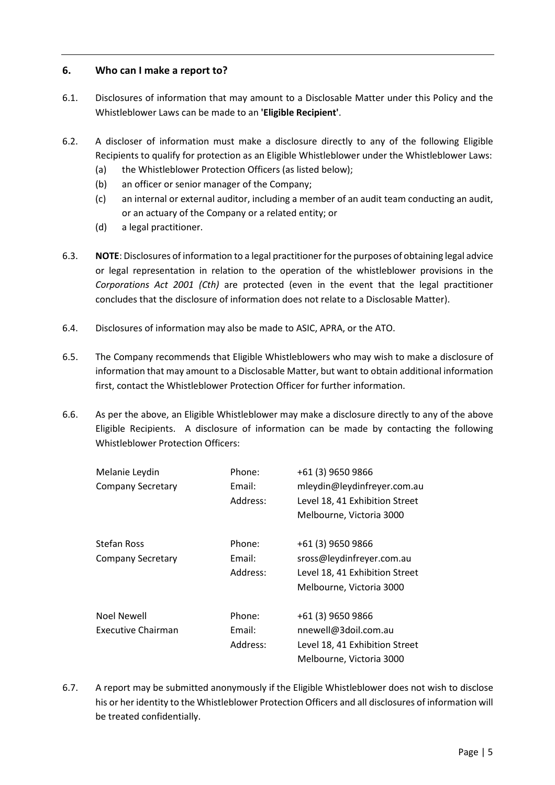#### **6. Who can I make a report to?**

- 6.1. Disclosures of information that may amount to a Disclosable Matter under this Policy and the Whistleblower Laws can be made to an **'Eligible Recipient'**.
- 6.2. A discloser of information must make a disclosure directly to any of the following Eligible Recipients to qualify for protection as an Eligible Whistleblower under the Whistleblower Laws:
	- (a) the Whistleblower Protection Officers (as listed below);
	- (b) an officer or senior manager of the Company;
	- (c) an internal or external auditor, including a member of an audit team conducting an audit, or an actuary of the Company or a related entity; or
	- (d) a legal practitioner.
- 6.3. **NOTE**: Disclosures of information to a legal practitioner for the purposes of obtaining legal advice or legal representation in relation to the operation of the whistleblower provisions in the *Corporations Act 2001 (Cth)* are protected (even in the event that the legal practitioner concludes that the disclosure of information does not relate to a Disclosable Matter).
- 6.4. Disclosures of information may also be made to ASIC, APRA, or the ATO.
- 6.5. The Company recommends that Eligible Whistleblowers who may wish to make a disclosure of information that may amount to a Disclosable Matter, but want to obtain additional information first, contact the Whistleblower Protection Officer for further information.
- 6.6. As per the above, an Eligible Whistleblower may make a disclosure directly to any of the above Eligible Recipients. A disclosure of information can be made by contacting the following Whistleblower Protection Officers:

| Melanie Leydin            | Phone:   | +61 (3) 9650 9866              |
|---------------------------|----------|--------------------------------|
| <b>Company Secretary</b>  | Email:   | mleydin@leydinfreyer.com.au    |
|                           | Address: | Level 18, 41 Exhibition Street |
|                           |          | Melbourne, Victoria 3000       |
| Stefan Ross               | Phone:   | +61 (3) 9650 9866              |
| <b>Company Secretary</b>  | Email:   | sross@leydinfreyer.com.au      |
|                           | Address: | Level 18, 41 Exhibition Street |
|                           |          | Melbourne, Victoria 3000       |
| Noel Newell               | Phone:   | +61 (3) 9650 9866              |
| <b>Executive Chairman</b> | Email:   | nnewell@3doil.com.au           |
|                           | Address: | Level 18, 41 Exhibition Street |
|                           |          | Melbourne, Victoria 3000       |

6.7. A report may be submitted anonymously if the Eligible Whistleblower does not wish to disclose his or her identity to the Whistleblower Protection Officers and all disclosures of information will be treated confidentially.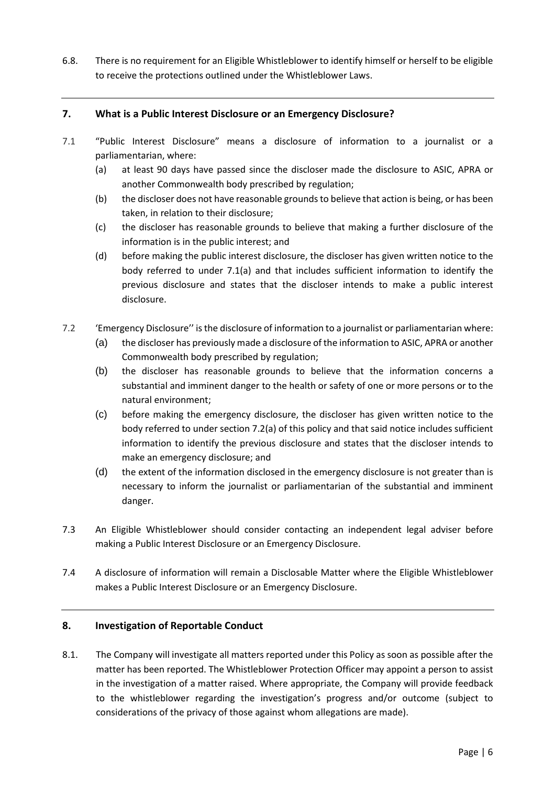6.8. There is no requirement for an Eligible Whistleblower to identify himself or herself to be eligible to receive the protections outlined under the Whistleblower Laws.

# **7. What is a Public Interest Disclosure or an Emergency Disclosure?**

- 7.1 "Public Interest Disclosure" means a disclosure of information to a journalist or a parliamentarian, where:
	- (a) at least 90 days have passed since the discloser made the disclosure to ASIC, APRA or another Commonwealth body prescribed by regulation;
	- (b) the discloser does not have reasonable grounds to believe that action is being, or has been taken, in relation to their disclosure;
	- (c) the discloser has reasonable grounds to believe that making a further disclosure of the information is in the public interest; and
	- (d) before making the public interest disclosure, the discloser has given written notice to the body referred to under 7.1(a) and that includes sufficient information to identify the previous disclosure and states that the discloser intends to make a public interest disclosure.
- 7.2 'Emergency Disclosure'' is the disclosure of information to a journalist or parliamentarian where:
	- (a) the discloser has previously made a disclosure of the information to ASIC, APRA or another Commonwealth body prescribed by regulation;
	- (b) the discloser has reasonable grounds to believe that the information concerns a substantial and imminent danger to the health or safety of one or more persons or to the natural environment;
	- (c) before making the emergency disclosure, the discloser has given written notice to the body referred to under section 7.2(a) of this policy and that said notice includes sufficient information to identify the previous disclosure and states that the discloser intends to make an emergency disclosure; and
	- (d) the extent of the information disclosed in the emergency disclosure is not greater than is necessary to inform the journalist or parliamentarian of the substantial and imminent danger.
- 7.3 An Eligible Whistleblower should consider contacting an independent legal adviser before making a Public Interest Disclosure or an Emergency Disclosure.
- 7.4 A disclosure of information will remain a Disclosable Matter where the Eligible Whistleblower makes a Public Interest Disclosure or an Emergency Disclosure.

#### **8. Investigation of Reportable Conduct**

8.1. The Company will investigate all matters reported under this Policy as soon as possible after the matter has been reported. The Whistleblower Protection Officer may appoint a person to assist in the investigation of a matter raised. Where appropriate, the Company will provide feedback to the whistleblower regarding the investigation's progress and/or outcome (subject to considerations of the privacy of those against whom allegations are made).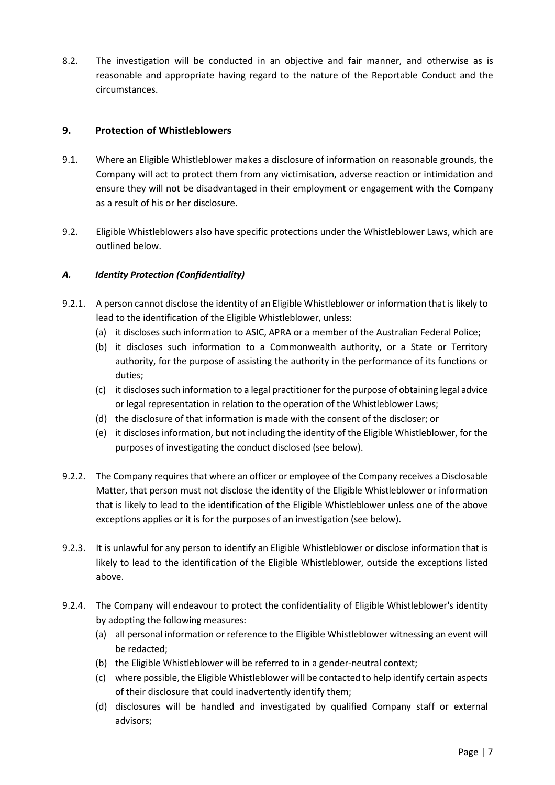8.2. The investigation will be conducted in an objective and fair manner, and otherwise as is reasonable and appropriate having regard to the nature of the Reportable Conduct and the circumstances.

#### **9. Protection of Whistleblowers**

- 9.1. Where an Eligible Whistleblower makes a disclosure of information on reasonable grounds, the Company will act to protect them from any victimisation, adverse reaction or intimidation and ensure they will not be disadvantaged in their employment or engagement with the Company as a result of his or her disclosure.
- 9.2. Eligible Whistleblowers also have specific protections under the Whistleblower Laws, which are outlined below.

#### *A. Identity Protection (Confidentiality)*

- 9.2.1. A person cannot disclose the identity of an Eligible Whistleblower or information that is likely to lead to the identification of the Eligible Whistleblower, unless:
	- (a) it discloses such information to ASIC, APRA or a member of the Australian Federal Police;
	- (b) it discloses such information to a Commonwealth authority, or a State or Territory authority, for the purpose of assisting the authority in the performance of its functions or duties;
	- (c) it discloses such information to a legal practitioner for the purpose of obtaining legal advice or legal representation in relation to the operation of the Whistleblower Laws;
	- (d) the disclosure of that information is made with the consent of the discloser; or
	- (e) it discloses information, but not including the identity of the Eligible Whistleblower, for the purposes of investigating the conduct disclosed (see below).
- 9.2.2. The Company requires that where an officer or employee of the Company receives a Disclosable Matter, that person must not disclose the identity of the Eligible Whistleblower or information that is likely to lead to the identification of the Eligible Whistleblower unless one of the above exceptions applies or it is for the purposes of an investigation (see below).
- 9.2.3. It is unlawful for any person to identify an Eligible Whistleblower or disclose information that is likely to lead to the identification of the Eligible Whistleblower, outside the exceptions listed above.
- 9.2.4. The Company will endeavour to protect the confidentiality of Eligible Whistleblower's identity by adopting the following measures:
	- (a) all personal information or reference to the Eligible Whistleblower witnessing an event will be redacted;
	- (b) the Eligible Whistleblower will be referred to in a gender-neutral context;
	- (c) where possible, the Eligible Whistleblower will be contacted to help identify certain aspects of their disclosure that could inadvertently identify them;
	- (d) disclosures will be handled and investigated by qualified Company staff or external advisors;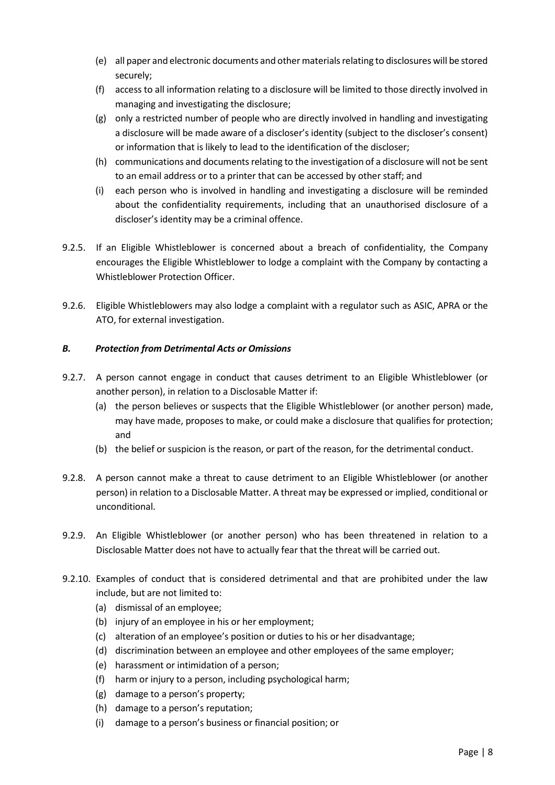- (e) all paper and electronic documents and other materials relating to disclosures will be stored securely;
- (f) access to all information relating to a disclosure will be limited to those directly involved in managing and investigating the disclosure;
- (g) only a restricted number of people who are directly involved in handling and investigating a disclosure will be made aware of a discloser's identity (subject to the discloser's consent) or information that is likely to lead to the identification of the discloser;
- (h) communications and documents relating to the investigation of a disclosure will not be sent to an email address or to a printer that can be accessed by other staff; and
- (i) each person who is involved in handling and investigating a disclosure will be reminded about the confidentiality requirements, including that an unauthorised disclosure of a discloser's identity may be a criminal offence.
- 9.2.5. If an Eligible Whistleblower is concerned about a breach of confidentiality, the Company encourages the Eligible Whistleblower to lodge a complaint with the Company by contacting a Whistleblower Protection Officer.
- 9.2.6. Eligible Whistleblowers may also lodge a complaint with a regulator such as ASIC, APRA or the ATO, for external investigation.

# *B. Protection from Detrimental Acts or Omissions*

- 9.2.7. A person cannot engage in conduct that causes detriment to an Eligible Whistleblower (or another person), in relation to a Disclosable Matter if:
	- (a) the person believes or suspects that the Eligible Whistleblower (or another person) made, may have made, proposes to make, or could make a disclosure that qualifies for protection; and
	- (b) the belief or suspicion is the reason, or part of the reason, for the detrimental conduct.
- 9.2.8. A person cannot make a threat to cause detriment to an Eligible Whistleblower (or another person) in relation to a Disclosable Matter. A threat may be expressed or implied, conditional or unconditional.
- 9.2.9. An Eligible Whistleblower (or another person) who has been threatened in relation to a Disclosable Matter does not have to actually fear that the threat will be carried out.
- 9.2.10. Examples of conduct that is considered detrimental and that are prohibited under the law include, but are not limited to:
	- (a) dismissal of an employee;
	- (b) injury of an employee in his or her employment;
	- (c) alteration of an employee's position or duties to his or her disadvantage;
	- (d) discrimination between an employee and other employees of the same employer;
	- (e) harassment or intimidation of a person;
	- (f) harm or injury to a person, including psychological harm;
	- (g) damage to a person's property;
	- (h) damage to a person's reputation;
	- (i) damage to a person's business or financial position; or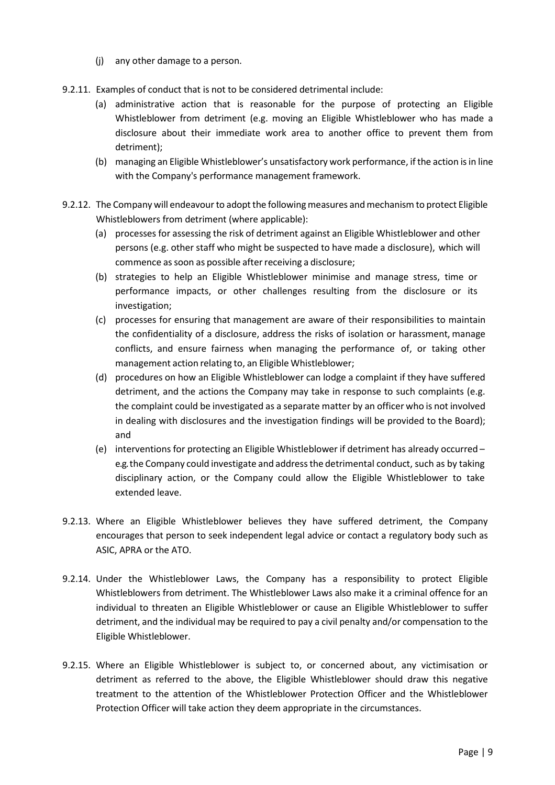- (j) any other damage to a person.
- 9.2.11. Examples of conduct that is not to be considered detrimental include:
	- (a) administrative action that is reasonable for the purpose of protecting an Eligible Whistleblower from detriment (e.g. moving an Eligible Whistleblower who has made a disclosure about their immediate work area to another office to prevent them from detriment);
	- (b) managing an Eligible Whistleblower's unsatisfactory work performance, if the action is in line with the Company's performance management framework.
- 9.2.12. The Company will endeavour to adopt the following measures and mechanism to protect Eligible Whistleblowers from detriment (where applicable):
	- (a) processes for assessing the risk of detriment against an Eligible Whistleblower and other persons (e.g. other staff who might be suspected to have made a disclosure), which will commence as soon as possible after receiving a disclosure;
	- (b) strategies to help an Eligible Whistleblower minimise and manage stress, time or performance impacts, or other challenges resulting from the disclosure or its investigation;
	- (c) processes for ensuring that management are aware of their responsibilities to maintain the confidentiality of a disclosure, address the risks of isolation or harassment, manage conflicts, and ensure fairness when managing the performance of, or taking other management action relating to, an Eligible Whistleblower;
	- (d) procedures on how an Eligible Whistleblower can lodge a complaint if they have suffered detriment, and the actions the Company may take in response to such complaints (e.g. the complaint could be investigated as a separate matter by an officer who is not involved in dealing with disclosures and the investigation findings will be provided to the Board); and
	- (e) interventions for protecting an Eligible Whistleblower if detriment has already occurred e.g. the Company could investigate and addressthe detrimental conduct, such as by taking disciplinary action, or the Company could allow the Eligible Whistleblower to take extended leave.
- 9.2.13. Where an Eligible Whistleblower believes they have suffered detriment, the Company encourages that person to seek independent legal advice or contact a regulatory body such as ASIC, APRA or the ATO.
- 9.2.14. Under the Whistleblower Laws, the Company has a responsibility to protect Eligible Whistleblowers from detriment. The Whistleblower Laws also make it a criminal offence for an individual to threaten an Eligible Whistleblower or cause an Eligible Whistleblower to suffer detriment, and the individual may be required to pay a civil penalty and/or compensation to the Eligible Whistleblower.
- 9.2.15. Where an Eligible Whistleblower is subject to, or concerned about, any victimisation or detriment as referred to the above, the Eligible Whistleblower should draw this negative treatment to the attention of the Whistleblower Protection Officer and the Whistleblower Protection Officer will take action they deem appropriate in the circumstances.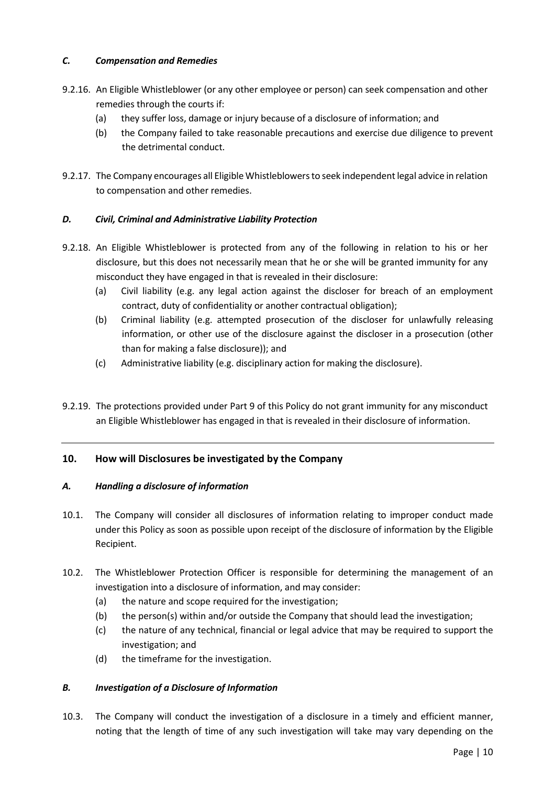# *C. Compensation and Remedies*

- 9.2.16. An Eligible Whistleblower (or any other employee or person) can seek compensation and other remedies through the courts if:
	- (a) they suffer loss, damage or injury because of a disclosure of information; and
	- (b) the Company failed to take reasonable precautions and exercise due diligence to prevent the detrimental conduct.
- 9.2.17. The Company encourages all Eligible Whistleblowers to seek independent legal advice in relation to compensation and other remedies.

# *D. Civil, Criminal and Administrative Liability Protection*

- 9.2.18. An Eligible Whistleblower is protected from any of the following in relation to his or her disclosure, but this does not necessarily mean that he or she will be granted immunity for any misconduct they have engaged in that is revealed in their disclosure:
	- (a) Civil liability (e.g. any legal action against the discloser for breach of an employment contract, duty of confidentiality or another contractual obligation);
	- (b) Criminal liability (e.g. attempted prosecution of the discloser for unlawfully releasing information, or other use of the disclosure against the discloser in a prosecution (other than for making a false disclosure)); and
	- (c) Administrative liability (e.g. disciplinary action for making the disclosure).
- 9.2.19. The protections provided under Part 9 of this Policy do not grant immunity for any misconduct an Eligible Whistleblower has engaged in that is revealed in their disclosure of information.

#### **10. How will Disclosures be investigated by the Company**

#### *A. Handling a disclosure of information*

- 10.1. The Company will consider all disclosures of information relating to improper conduct made under this Policy as soon as possible upon receipt of the disclosure of information by the Eligible Recipient.
- 10.2. The Whistleblower Protection Officer is responsible for determining the management of an investigation into a disclosure of information, and may consider:
	- (a) the nature and scope required for the investigation;
	- (b) the person(s) within and/or outside the Company that should lead the investigation;
	- (c) the nature of any technical, financial or legal advice that may be required to support the investigation; and
	- (d) the timeframe for the investigation.

#### *B. Investigation of a Disclosure of Information*

10.3. The Company will conduct the investigation of a disclosure in a timely and efficient manner, noting that the length of time of any such investigation will take may vary depending on the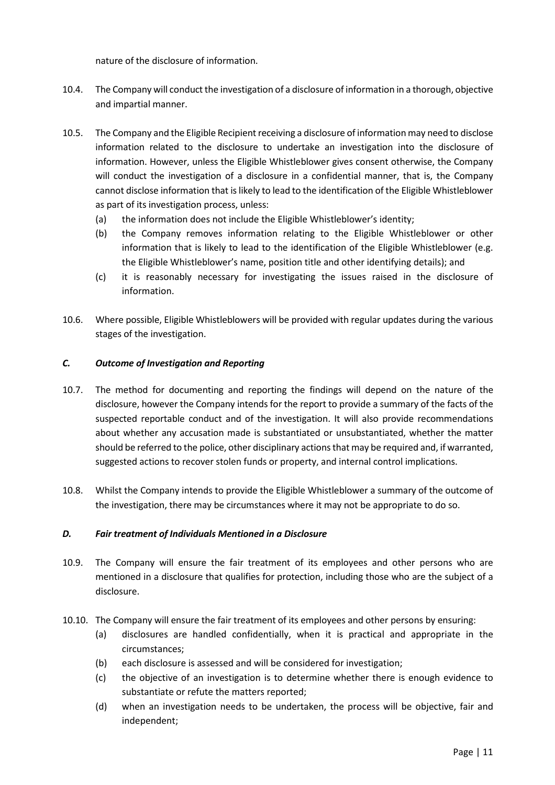nature of the disclosure of information.

- 10.4. The Company will conduct the investigation of a disclosure of information in a thorough, objective and impartial manner.
- 10.5. The Company and the Eligible Recipient receiving a disclosure of information may need to disclose information related to the disclosure to undertake an investigation into the disclosure of information. However, unless the Eligible Whistleblower gives consent otherwise, the Company will conduct the investigation of a disclosure in a confidential manner, that is, the Company cannot disclose information that is likely to lead to the identification of the Eligible Whistleblower as part of its investigation process, unless:
	- (a) the information does not include the Eligible Whistleblower's identity;
	- (b) the Company removes information relating to the Eligible Whistleblower or other information that is likely to lead to the identification of the Eligible Whistleblower (e.g. the Eligible Whistleblower's name, position title and other identifying details); and
	- (c) it is reasonably necessary for investigating the issues raised in the disclosure of information.
- 10.6. Where possible, Eligible Whistleblowers will be provided with regular updates during the various stages of the investigation.

#### *C. Outcome of Investigation and Reporting*

- 10.7. The method for documenting and reporting the findings will depend on the nature of the disclosure, however the Company intends for the report to provide a summary of the facts of the suspected reportable conduct and of the investigation. It will also provide recommendations about whether any accusation made is substantiated or unsubstantiated, whether the matter should be referred to the police, other disciplinary actions that may be required and, if warranted, suggested actions to recover stolen funds or property, and internal control implications.
- 10.8. Whilst the Company intends to provide the Eligible Whistleblower a summary of the outcome of the investigation, there may be circumstances where it may not be appropriate to do so.

#### *D. Fair treatment of Individuals Mentioned in a Disclosure*

- 10.9. The Company will ensure the fair treatment of its employees and other persons who are mentioned in a disclosure that qualifies for protection, including those who are the subject of a disclosure.
- 10.10. The Company will ensure the fair treatment of its employees and other persons by ensuring:
	- (a) disclosures are handled confidentially, when it is practical and appropriate in the circumstances;
	- (b) each disclosure is assessed and will be considered for investigation;
	- (c) the objective of an investigation is to determine whether there is enough evidence to substantiate or refute the matters reported;
	- (d) when an investigation needs to be undertaken, the process will be objective, fair and independent;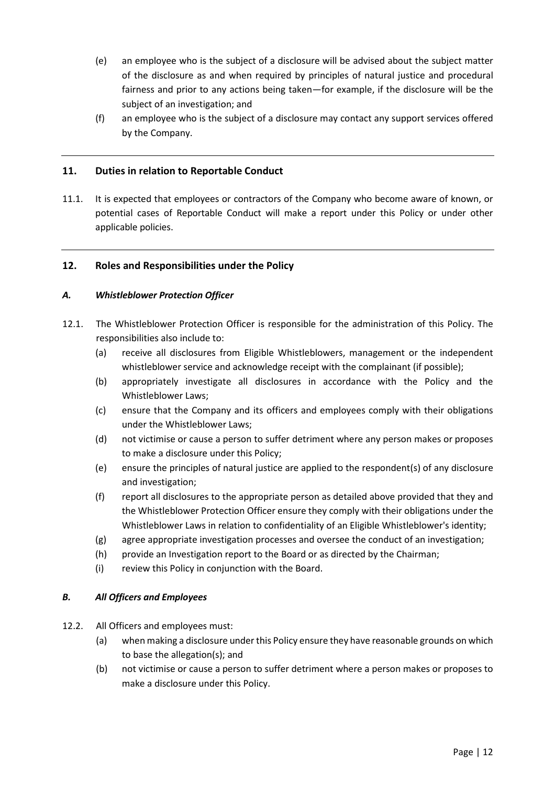- (e) an employee who is the subject of a disclosure will be advised about the subject matter of the disclosure as and when required by principles of natural justice and procedural fairness and prior to any actions being taken—for example, if the disclosure will be the subject of an investigation; and
- (f) an employee who is the subject of a disclosure may contact any support services offered by the Company.

#### **11. Duties in relation to Reportable Conduct**

11.1. It is expected that employees or contractors of the Company who become aware of known, or potential cases of Reportable Conduct will make a report under this Policy or under other applicable policies.

#### **12. Roles and Responsibilities under the Policy**

#### *A. Whistleblower Protection Officer*

- 12.1. The Whistleblower Protection Officer is responsible for the administration of this Policy. The responsibilities also include to:
	- (a) receive all disclosures from Eligible Whistleblowers, management or the independent whistleblower service and acknowledge receipt with the complainant (if possible);
	- (b) appropriately investigate all disclosures in accordance with the Policy and the Whistleblower Laws;
	- (c) ensure that the Company and its officers and employees comply with their obligations under the Whistleblower Laws;
	- (d) not victimise or cause a person to suffer detriment where any person makes or proposes to make a disclosure under this Policy;
	- (e) ensure the principles of natural justice are applied to the respondent(s) of any disclosure and investigation;
	- (f) report all disclosures to the appropriate person as detailed above provided that they and the Whistleblower Protection Officer ensure they comply with their obligations under the Whistleblower Laws in relation to confidentiality of an Eligible Whistleblower's identity;
	- (g) agree appropriate investigation processes and oversee the conduct of an investigation;
	- (h) provide an Investigation report to the Board or as directed by the Chairman;
	- (i) review this Policy in conjunction with the Board.

#### *B. All Officers and Employees*

- 12.2. All Officers and employees must:
	- (a) when making a disclosure under this Policy ensure they have reasonable grounds on which to base the allegation(s); and
	- (b) not victimise or cause a person to suffer detriment where a person makes or proposes to make a disclosure under this Policy.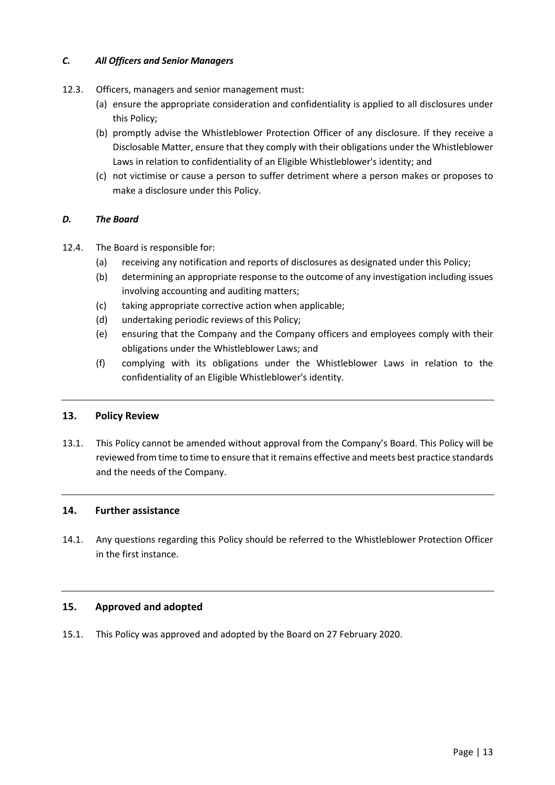#### *C. All Officers and Senior Managers*

- 12.3. Officers, managers and senior management must:
	- (a) ensure the appropriate consideration and confidentiality is applied to all disclosures under this Policy;
	- (b) promptly advise the Whistleblower Protection Officer of any disclosure. If they receive a Disclosable Matter, ensure that they comply with their obligations under the Whistleblower Laws in relation to confidentiality of an Eligible Whistleblower's identity; and
	- (c) not victimise or cause a person to suffer detriment where a person makes or proposes to make a disclosure under this Policy.

#### *D. The Board*

- 12.4. The Board is responsible for:
	- (a) receiving any notification and reports of disclosures as designated under this Policy;
	- (b) determining an appropriate response to the outcome of any investigation including issues involving accounting and auditing matters;
	- (c) taking appropriate corrective action when applicable;
	- (d) undertaking periodic reviews of this Policy;
	- (e) ensuring that the Company and the Company officers and employees comply with their obligations under the Whistleblower Laws; and
	- (f) complying with its obligations under the Whistleblower Laws in relation to the confidentiality of an Eligible Whistleblower's identity.

#### **13. Policy Review**

13.1. This Policy cannot be amended without approval from the Company's Board. This Policy will be reviewed from time to time to ensure that it remains effective and meets best practice standards and the needs of the Company.

#### **14. Further assistance**

14.1. Any questions regarding this Policy should be referred to the Whistleblower Protection Officer in the first instance.

#### **15. Approved and adopted**

15.1. This Policy was approved and adopted by the Board on 27 February 2020.